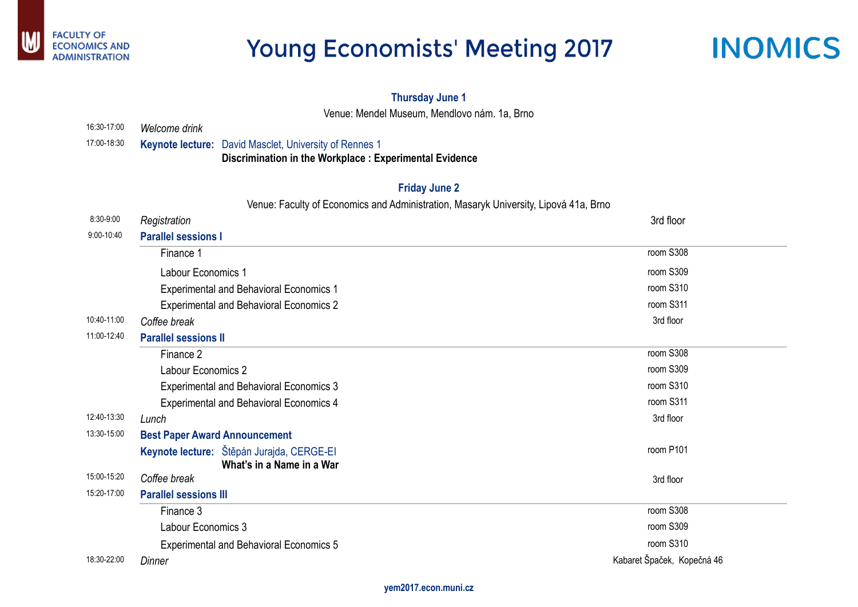

## **Young Economists' Meeting 2017**



| 3rd floor          |  |
|--------------------|--|
| room S308          |  |
| room S309          |  |
| room S310          |  |
| room S311          |  |
| 3rd floor          |  |
|                    |  |
| room S308          |  |
| room S309          |  |
| room S310          |  |
| room S311          |  |
| 3rd floor          |  |
| room P101          |  |
| 3rd floor          |  |
| room S308          |  |
| room S309          |  |
| room S310          |  |
| Špaček, Kopečná 46 |  |

### **Thursday June 1**

Venue: Mendel Museum, Mendlovo nám. 1a, Brno

| 16:30-17:00 | Welcome drink                                                                                                           |                            |
|-------------|-------------------------------------------------------------------------------------------------------------------------|----------------------------|
| 17:00-18:30 | <b>Keynote lecture:</b> David Masclet, University of Rennes 1<br>Discrimination in the Workplace: Experimental Evidence |                            |
|             | <b>Friday June 2</b>                                                                                                    |                            |
|             | Venue: Faculty of Economics and Administration, Masaryk University, Lipová 41a, Brno                                    |                            |
| 8:30-9:00   | Registration                                                                                                            | 3rd floor                  |
| 9:00-10:40  | <b>Parallel sessions I</b>                                                                                              |                            |
|             | Finance 1                                                                                                               | room S308                  |
|             | <b>Labour Economics 1</b>                                                                                               | room S309                  |
|             | <b>Experimental and Behavioral Economics 1</b>                                                                          | room S310                  |
|             | <b>Experimental and Behavioral Economics 2</b>                                                                          | room S311                  |
| 10:40-11:00 | Coffee break                                                                                                            | 3rd floor                  |
| 11:00-12:40 | <b>Parallel sessions II</b>                                                                                             |                            |
|             | Finance 2                                                                                                               | room S308                  |
|             | <b>Labour Economics 2</b>                                                                                               | room S309                  |
|             | <b>Experimental and Behavioral Economics 3</b>                                                                          | room S310                  |
|             | <b>Experimental and Behavioral Economics 4</b>                                                                          | room S311                  |
| 12:40-13:30 | Lunch                                                                                                                   | 3rd floor                  |
| 13:30-15:00 | <b>Best Paper Award Announcement</b>                                                                                    |                            |
|             | Keynote lecture: Stěpán Jurajda, CERGE-EI                                                                               | room P101                  |
| 15:00-15:20 | What's in a Name in a War<br>Coffee break                                                                               |                            |
| 15:20-17:00 | <b>Parallel sessions III</b>                                                                                            | 3rd floor                  |
|             | Finance 3                                                                                                               | room S308                  |
|             | Labour Economics 3                                                                                                      | room S309                  |
|             |                                                                                                                         | room S310                  |
| 18:30-22:00 | <b>Experimental and Behavioral Economics 5</b>                                                                          | Kabaret Špaček, Kopečná 46 |
|             | Dinner                                                                                                                  |                            |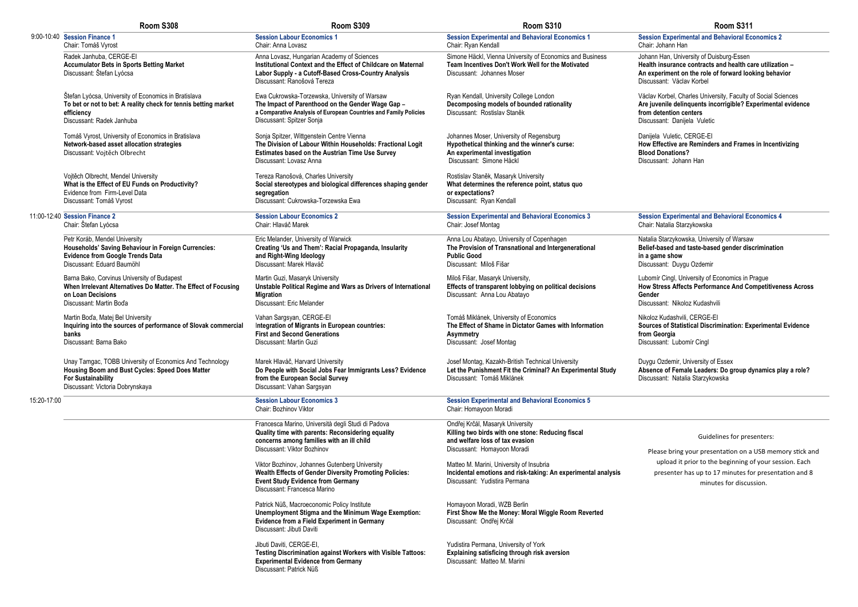### **Session Experimental and Behavioral Economics 2**  ir: Johann Han

ann Han, University of Duisburg-Essen **Health insurance contracts and health care utilization -An experiment on the role of forward looking behavior** cussant: Václav Korbel

lav Korbel, Charles University, Faculty of Social Sciences **Are juvenile delinquents incorrigible? Experimental evidence detention centers** ussant: Danijela Vuletic

jela Vuletic, CERGE-EI *Effective are Reminders and Frames in Incentivizing* **b**od Donations? cussant: Johann Han

**Session Experimental and Behavioral Economics 4**  ir: Natalia Starzykowska

alia Starzykowska, University of Warsaw **Belief-based and taste-based gender discrimination in a game show** Discussant: Duygu Ozdemir

omír Cingl, University of Economics in Prague **Stress Affects Performance And Competitiveness Across** der cussant: Nikoloz Kudashvili

Nikoloz Kudashvili, CERGE-EI **rces of Statistical Discrimination: Experimental Evidence** *<u>feorgia</u>* ussant: Lubomír Cingl

gu Ozdemir, University of Essex **Absence of Female Leaders: Do group dynamics play a role?** ussant: Natalia Starzykowska

|             | Room S308                                                                                                                                                                                   | Room S309                                                                                                                                                                                           | Room S310                                                                                                                                               | Room S311                                                                                                                                                     |
|-------------|---------------------------------------------------------------------------------------------------------------------------------------------------------------------------------------------|-----------------------------------------------------------------------------------------------------------------------------------------------------------------------------------------------------|---------------------------------------------------------------------------------------------------------------------------------------------------------|---------------------------------------------------------------------------------------------------------------------------------------------------------------|
|             | 9:00-10:40 Session Finance 1<br>Chair: Tomáš Vyrost                                                                                                                                         | <b>Session Labour Economics 1</b><br>Chair: Anna Lovasz                                                                                                                                             | <b>Session Experimental and Behavioral Economics 1</b><br>Chair: Ryan Kendall                                                                           | <b>Session Experimental and Behavioral Ec</b><br>Chair: Johann Han                                                                                            |
|             | Radek Janhuba, CERGE-EI<br><b>Accumulator Bets in Sports Betting Market</b><br>Discussant: Štefan Lyócsa                                                                                    | Anna Lovasz, Hungarian Academy of Sciences<br>Institutional Context and the Effect of Childcare on Maternal<br>Labor Supply - a Cutoff-Based Cross-Country Analysis<br>Discussant: Ranošová Tereza  | Simone Häckl, Vienna University of Economics and Business<br>Team Incentives Don't Work Well for the Motivated<br>Discussant: Johannes Moser            | Johann Han, University of Duisburg-Essen<br>Health insurance contracts and health ca<br>An experiment on the role of forward loo<br>Discussant: Václav Korbel |
|             | Štefan Lyócsa, University of Economics in Bratislava<br>To bet or not to bet: A reality check for tennis betting market<br>efficiency<br>Discussant: Radek Janhuba                          | Ewa Cukrowska-Torzewska, University of Warsaw<br>The Impact of Parenthood on the Gender Wage Gap -<br>a Comparative Analysis of European Countries and Family Policies<br>Discussant: Spitzer Sonja | Ryan Kendall, University College London<br>Decomposing models of bounded rationality<br>Discussant: Rostislav Staněk                                    | Václav Korbel, Charles University, Faculty c<br>Are juvenile delinquents incorrigible? Ex<br>from detention centers<br>Discussant: Danijela Vuletic           |
|             | Tomáš Vyrost, University of Economics in Bratislava<br>Network-based asset allocation strategies<br>Discussant: Vojtěch Olbrecht                                                            | Sonja Spitzer, Wittgenstein Centre Vienna<br>The Division of Labour Within Households: Fractional Logit<br><b>Estimates based on the Austrian Time Use Survey</b><br>Discussant: Lovasz Anna        | Johannes Moser, University of Regensburg<br>Hypothetical thinking and the winner's curse:<br>An experimental investigation<br>Discussant: Simone Häckl  | Danijela Vuletic, CERGE-EI<br>How Effective are Reminders and Frame<br><b>Blood Donations?</b><br>Discussant: Johann Han                                      |
|             | Vojtěch Olbrecht, Mendel University<br>What is the Effect of EU Funds on Productivity?<br>Evidence from Firm-Level Data<br>Discussant: Tomáš Vyrost                                         | Tereza Ranošová, Charles University<br>Social stereotypes and biological differences shaping gender<br>segregation<br>Discussant: Cukrowska-Torzewska Ewa                                           | Rostislav Staněk, Masaryk University<br>What determines the reference point, status quo<br>or expectations?<br>Discussant: Ryan Kendall                 |                                                                                                                                                               |
|             | 11:00-12:40 Session Finance 2<br>Chair: Štefan Lyócsa                                                                                                                                       | <b>Session Labour Economics 2</b><br>Chair: Hlaváč Marek                                                                                                                                            | <b>Session Experimental and Behavioral Economics 3</b><br>Chair: Josef Montag                                                                           | <b>Session Experimental and Behavioral Ed</b><br>Chair: Natalia Starzykowska                                                                                  |
|             | Petr Koráb, Mendel University<br>Households' Saving Behaviour in Foreign Currencies:<br><b>Evidence from Google Trends Data</b><br>Discussant: Eduard Baumöhl                               | Eric Melander, University of Warwick<br>Creating 'Us and Them': Racial Propaganda, Insularity<br>and Right-Wing Ideology<br>Discussant: Marek Hlaváč                                                | Anna Lou Abatayo, University of Copenhagen<br>The Provision of Transnational and Intergenerational<br><b>Public Good</b><br>Discussant: Miloš Fišar     | Natalia Starzykowska, University of Warsav<br>Belief-based and taste-based gender dis<br>in a game show<br>Discussant: Duygu Ozdemir                          |
| banks       | Barna Bako, Corvinus University of Budapest<br>When Irrelevant Alternatives Do Matter. The Effect of Focusing<br>on Loan Decisions<br>Discussant: Martin Bod'a                              | Martin Guzi, Masaryk University<br>Unstable Political Regime and Wars as Drivers of International<br><b>Migration</b><br>Discussant: Eric Melander                                                  | Miloš Fišar, Masaryk University,<br>Effects of transparent lobbying on political decisions<br>Discussant: Anna Lou Abatayo                              | Lubomír Cingl, University of Economics in F<br>How Stress Affects Performance And Co<br>Gender<br>Discussant: Nikoloz Kudashvili                              |
|             | Martin Boďa, Matej Bel University<br>Inquiring into the sources of performance of Slovak commercial<br>Discussant: Barna Bako                                                               | Vahan Sargsyan, CERGE-EI<br>Integration of Migrants in European countries:<br><b>First and Second Generations</b><br>Discussant: Martin Guzi                                                        | Tomáš Miklánek, University of Economics<br>The Effect of Shame in Dictator Games with Information<br><b>Asymmetry</b><br>Discussant: Josef Montag       | Nikoloz Kudashvili, CERGE-EI<br><b>Sources of Statistical Discrimination: Ex</b><br>from Georgia<br>Discussant: Lubomír Cingl                                 |
|             | Unay Tamgac, TOBB University of Economics And Technology<br><b>Housing Boom and Bust Cycles: Speed Does Matter</b><br><b>For Sustainability</b><br>Discussant: Victoria Dobrynskaya         | Marek Hlaváč, Harvard University<br>Do People with Social Jobs Fear Immigrants Less? Evidence<br>from the European Social Survey<br>Discussant: Vahan Sargsyan                                      | Josef Montag, Kazakh-British Technical University<br>Let the Punishment Fit the Criminal? An Experimental Study<br>Discussant: Tomáš Miklánek           | Duygu Ozdemir, University of Essex<br>Absence of Female Leaders: Do group d<br>Discussant: Natalia Starzykowska                                               |
| 15:20-17:00 |                                                                                                                                                                                             | <b>Session Labour Economics 3</b><br>Chair: Bozhinov Viktor                                                                                                                                         | <b>Session Experimental and Behavioral Economics 5</b><br>Chair: Homayoon Moradi                                                                        |                                                                                                                                                               |
|             |                                                                                                                                                                                             | Francesca Marino, Università degli Studi di Padova<br>Quality time with parents: Reconsidering equality<br>concerns among families with an ill child<br>Discussant: Viktor Bozhinov                 | Ondřej Krčál, Masaryk University<br>Killing two birds with one stone: Reducing fiscal<br>and welfare loss of tax evasion<br>Discussant: Homayoon Moradi | Guidelines for pres<br>Please bring your presentation on a                                                                                                    |
|             | Viktor Bozhinov, Johannes Gutenberg University<br><b>Wealth Effects of Gender Diversity Promoting Policies:</b><br><b>Event Study Evidence from Germany</b><br>Discussant: Francesca Marino | Matteo M. Marini, University of Insubria<br>Incidental emotions and risk-taking: An experimental analysis<br>Discussant: Yudistira Permana                                                          | upload it prior to the beginning o<br>presenter has up to 17 minutes fo<br>minutes for discus                                                           |                                                                                                                                                               |
|             |                                                                                                                                                                                             | Patrick Nüß, Macroeconomic Policy Institute<br>Unemployment Stigma and the Minimum Wage Exemption:<br><b>Evidence from a Field Experiment in Germany</b><br>Discussant: Jibuti Daviti               | Homayoon Moradi, WZB Berlin<br>First Show Me the Money: Moral Wiggle Room Reverted<br>Discussant: Ondřej Krčál                                          |                                                                                                                                                               |
|             |                                                                                                                                                                                             | Jibuti Daviti, CERGE-EI<br>Testing Discrimination against Workers with Visible Tattoos:<br><b>Experimental Evidence from Germany</b><br>Discussant: Patrick Nüß                                     | Yudistira Permana, University of York<br>Explaining satisficing through risk aversion<br>Discussant: Matteo M. Marini                                   |                                                                                                                                                               |
|             |                                                                                                                                                                                             |                                                                                                                                                                                                     |                                                                                                                                                         |                                                                                                                                                               |

### Guidelines for presenters:

Please bring your presentation on a USB memory stick and upload it prior to the beginning of your session. Each presenter has up to 17 minutes for presentation and 8 minutes for discussion.